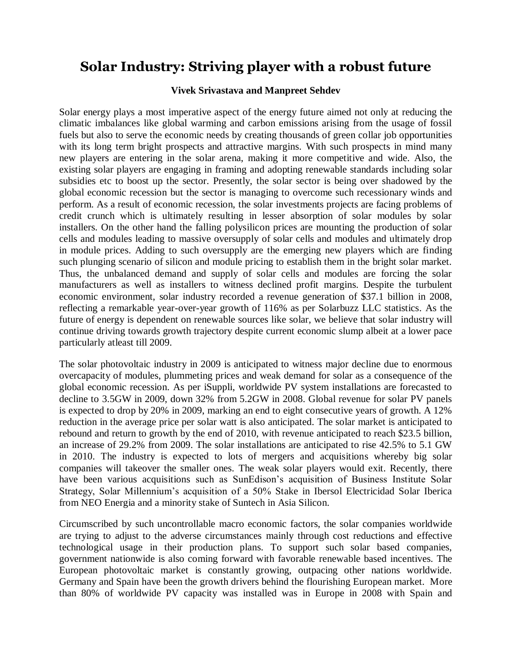## **Solar Industry: Striving player with a robust future**

## **Vivek Srivastava and Manpreet Sehdev**

Solar energy plays a most imperative aspect of the energy future aimed not only at reducing the climatic imbalances like global warming and carbon emissions arising from the usage of fossil fuels but also to serve the economic needs by creating thousands of green collar job opportunities with its long term bright prospects and attractive margins. With such prospects in mind many new players are entering in the solar arena, making it more competitive and wide. Also, the existing solar players are engaging in framing and adopting renewable standards including solar subsidies etc to boost up the sector. Presently, the solar sector is being over shadowed by the global economic recession but the sector is managing to overcome such recessionary winds and perform. As a result of economic recession, the solar investments projects are facing problems of credit crunch which is ultimately resulting in lesser absorption of solar modules by solar installers. On the other hand the falling polysilicon prices are mounting the production of solar cells and modules leading to massive oversupply of solar cells and modules and ultimately drop in module prices. Adding to such oversupply are the emerging new players which are finding such plunging scenario of silicon and module pricing to establish them in the bright solar market. Thus, the unbalanced demand and supply of solar cells and modules are forcing the solar manufacturers as well as installers to witness declined profit margins. Despite the turbulent economic environment, solar industry recorded a revenue generation of \$37.1 billion in 2008, reflecting a remarkable year-over-year growth of 116% as per Solarbuzz LLC statistics. As the future of energy is dependent on renewable sources like solar, we believe that solar industry will continue driving towards growth trajectory despite current economic slump albeit at a lower pace particularly atleast till 2009.

The solar photovoltaic industry in 2009 is anticipated to witness major decline due to enormous overcapacity of modules, plummeting prices and weak demand for solar as a consequence of the global economic recession. As per iSuppli, worldwide PV system installations are forecasted to decline to 3.5GW in 2009, down 32% from 5.2GW in 2008. Global revenue for solar PV panels is expected to drop by 20% in 2009, marking an end to eight consecutive years of growth. A 12% reduction in the average price per solar watt is also anticipated. The solar market is anticipated to rebound and return to growth by the end of 2010, with revenue anticipated to reach \$23.5 billion, an increase of 29.2% from 2009. The solar installations are anticipated to rise 42.5% to 5.1 GW in 2010. The industry is expected to lots of mergers and acquisitions whereby big solar companies will takeover the smaller ones. The weak solar players would exit. Recently, there have been various acquisitions such as SunEdison's acquisition of Business Institute Solar Strategy, Solar Millennium's acquisition of a 50% Stake in Ibersol Electricidad Solar Iberica from NEO Energia and a minority stake of Suntech in Asia Silicon.

Circumscribed by such uncontrollable macro economic factors, the solar companies worldwide are trying to adjust to the adverse circumstances mainly through cost reductions and effective technological usage in their production plans. To support such solar based companies, government nationwide is also coming forward with favorable renewable based incentives. The European photovoltaic market is constantly growing, outpacing other nations worldwide. Germany and Spain have been the growth drivers behind the flourishing European market. More than 80% of worldwide PV capacity was installed was in Europe in 2008 with Spain and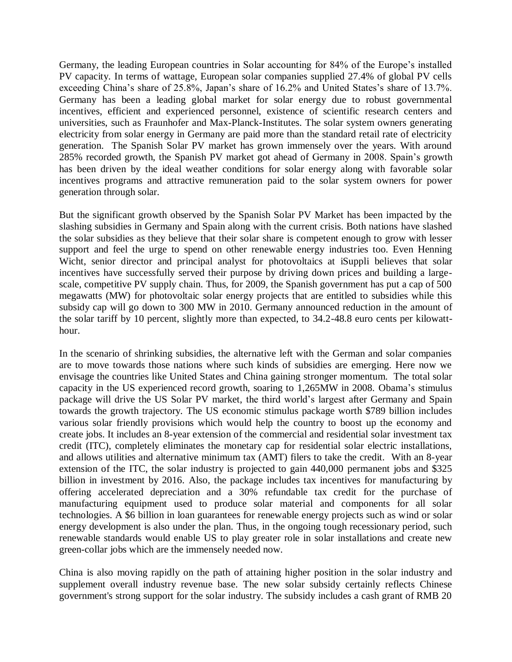Germany, the leading European countries in Solar accounting for 84% of the Europe's installed PV capacity. In terms of wattage, European solar companies supplied 27.4% of global PV cells exceeding China's share of 25.8%, Japan's share of 16.2% and United States's share of 13.7%. Germany has been a leading global market for solar energy due to robust governmental incentives, efficient and experienced personnel, existence of scientific research centers and universities, such as Fraunhofer and Max-Planck-Institutes. The solar system owners generating electricity from solar energy in Germany are paid more than the standard retail rate of electricity generation. The Spanish Solar PV market has grown immensely over the years. With around 285% recorded growth, the Spanish PV market got ahead of Germany in 2008. Spain's growth has been driven by the ideal weather conditions for solar energy along with favorable solar incentives programs and attractive remuneration paid to the solar system owners for power generation through solar.

But the significant growth observed by the Spanish Solar PV Market has been impacted by the slashing subsidies in Germany and Spain along with the current crisis. Both nations have slashed the solar subsidies as they believe that their solar share is competent enough to grow with lesser support and feel the urge to spend on other renewable energy industries too. Even Henning Wicht, senior director and principal analyst for [photovoltaics at iSuppli](http://www.isuppli.com/Products/L2_Photovoltaics.aspx?PID=1013) believes that solar incentives have successfully served their purpose by driving down prices and building a largescale, competitive PV supply chain. Thus, for 2009, the Spanish government has put a cap of 500 megawatts (MW) for photovoltaic solar energy projects that are entitled to subsidies while this subsidy cap will go down to 300 MW in 2010. Germany announced reduction in the amount of the solar tariff by 10 percent, slightly more than expected, to 34.2-48.8 euro cents per kilowatthour.

In the scenario of shrinking subsidies, the alternative left with the German and solar companies are to move towards those nations where such kinds of subsidies are emerging. Here now we envisage the countries like United States and China gaining stronger momentum. The total solar capacity in the US experienced record growth, soaring to 1,265MW in 2008. Obama's stimulus package will drive the US Solar PV market, the third world's largest after Germany and Spain towards the growth trajectory. The US economic stimulus package worth \$789 billion includes various solar friendly provisions which would help the country to boost up the economy and create jobs. It includes an 8-year extension of the commercial and residential solar investment tax credit (ITC), completely eliminates the monetary cap for residential solar electric installations, and allows utilities and alternative minimum tax (AMT) filers to take the credit. With an 8-year extension of the ITC, the solar industry is projected to gain 440,000 permanent jobs and \$325 billion in investment by 2016. Also, the package includes tax incentives for manufacturing by offering accelerated depreciation and a 30% refundable tax credit for the purchase of manufacturing equipment used to produce solar material and components for all solar technologies. A \$6 billion in loan guarantees for renewable energy projects such as wind or solar energy development is also under the plan. Thus, in the ongoing tough recessionary period, such renewable standards would enable US to play greater role in solar installations and create new green-collar jobs which are the immensely needed now.

China is also moving rapidly on the path of attaining higher position in the solar industry and supplement overall industry revenue base. The new solar subsidy certainly reflects Chinese government's strong support for the solar industry. The subsidy includes a cash grant of RMB 20